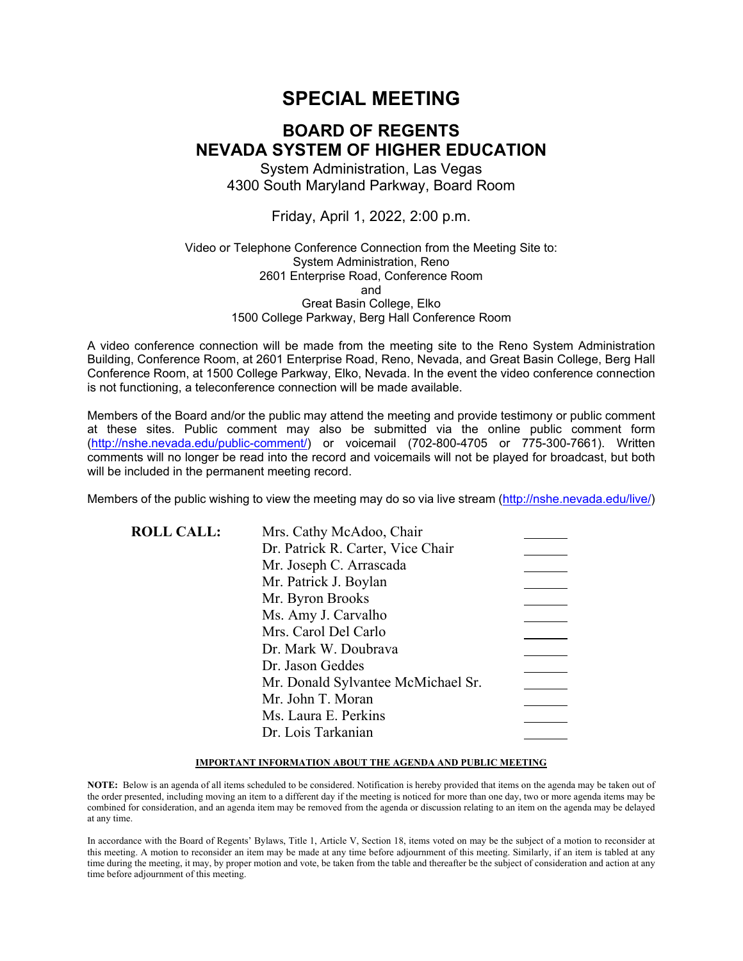# **SPECIAL MEETING**

# **BOARD OF REGENTS NEVADA SYSTEM OF HIGHER EDUCATION**

System Administration, Las Vegas 4300 South Maryland Parkway, Board Room

Friday, April 1, 2022, 2:00 p.m.

### Video or Telephone Conference Connection from the Meeting Site to: System Administration, Reno 2601 Enterprise Road, Conference Room and Great Basin College, Elko 1500 College Parkway, Berg Hall Conference Room

A video conference connection will be made from the meeting site to the Reno System Administration Building, Conference Room, at 2601 Enterprise Road, Reno, Nevada, and Great Basin College, Berg Hall Conference Room, at 1500 College Parkway, Elko, Nevada. In the event the video conference connection is not functioning, a teleconference connection will be made available.

Members of the Board and/or the public may attend the meeting and provide testimony or public comment at these sites. Public comment may also be submitted via the online public comment form [\(http://nshe.nevada.edu/public-comment/\)](http://nshe.nevada.edu/public-comment/) or voicemail (702-800-4705 or 775-300-7661). Written comments will no longer be read into the record and voicemails will not be played for broadcast, but both will be included in the permanent meeting record.

Members of the public wishing to view the meeting may do so via live stream [\(http://nshe.nevada.edu/live/\)](http://nshe.nevada.edu/live/)

| <b>ROLL CALL:</b> | Mrs. Cathy McAdoo, Chair           |  |
|-------------------|------------------------------------|--|
|                   | Dr. Patrick R. Carter, Vice Chair  |  |
|                   | Mr. Joseph C. Arrascada            |  |
|                   | Mr. Patrick J. Boylan              |  |
|                   | Mr. Byron Brooks                   |  |
|                   | Ms. Amy J. Carvalho                |  |
|                   | Mrs. Carol Del Carlo               |  |
|                   | Dr. Mark W. Doubrava               |  |
|                   | Dr. Jason Geddes                   |  |
|                   | Mr. Donald Sylvantee McMichael Sr. |  |
|                   | Mr. John T. Moran                  |  |
|                   | Ms. Laura E. Perkins               |  |
|                   | Dr. Lois Tarkanian                 |  |
|                   |                                    |  |

#### **IMPORTANT INFORMATION ABOUT THE AGENDA AND PUBLIC MEETING**

**NOTE:** Below is an agenda of all items scheduled to be considered. Notification is hereby provided that items on the agenda may be taken out of the order presented, including moving an item to a different day if the meeting is noticed for more than one day, two or more agenda items may be combined for consideration, and an agenda item may be removed from the agenda or discussion relating to an item on the agenda may be delayed at any time.

In accordance with the Board of Regents' Bylaws, Title 1, Article V, Section 18, items voted on may be the subject of a motion to reconsider at this meeting. A motion to reconsider an item may be made at any time before adjournment of this meeting. Similarly, if an item is tabled at any time during the meeting, it may, by proper motion and vote, be taken from the table and thereafter be the subject of consideration and action at any time before adjournment of this meeting.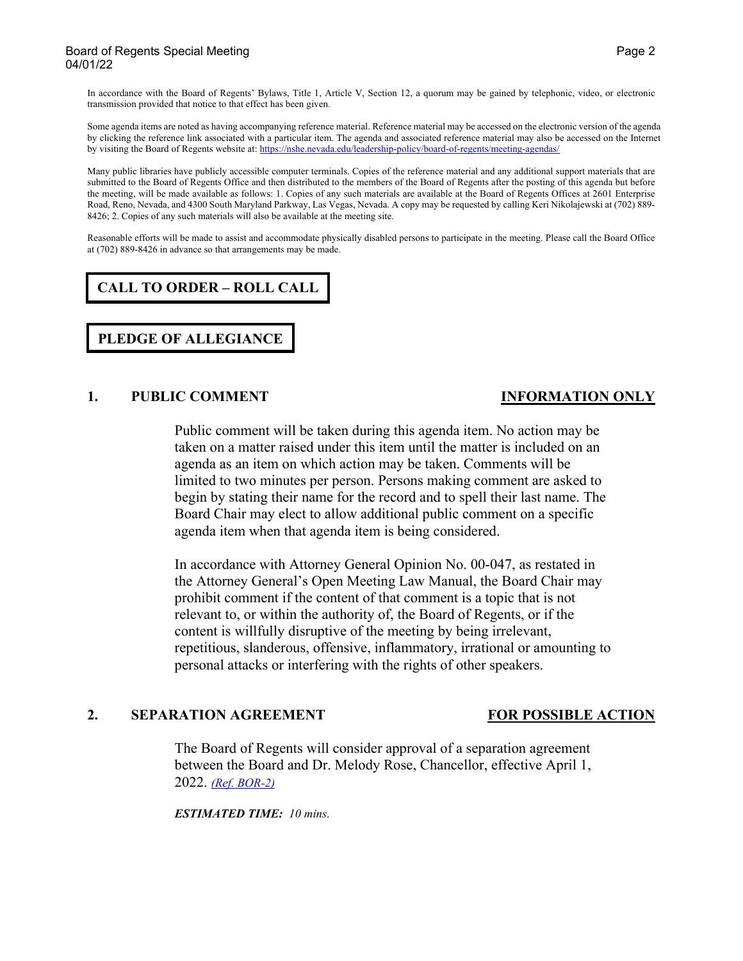#### Board of Regents Special Meeting Page 2 and 20 and 20 and 20 and 20 and 20 and 20 and 20 and 20 and 20 and 20 and 20 and 20 and 20 and 20 and 20 and 20 and 20 and 20 and 20 and 20 and 20 and 20 and 20 and 20 and 20 and 20 04/01/22

In accordance with the Board of Regents' Bylaws, Title 1, Article V, Section 12, a quorum may be gained by telephonic, video, or electronic transmission provided that notice to that effect has been given.

Some agenda items are noted as having accompanying reference material. Reference material may be accessed on the electronic version of the agenda by clicking the reference link associated with a particular item. The agenda and associated reference material may also be accessed on the Internet by visiting the Board of Regents website at: <https://nshe.nevada.edu/leadership-policy/board-of-regents/meeting-agendas/>

Many public libraries have publicly accessible computer terminals. Copies of the reference material and any additional support materials that are submitted to the Board of Regents Office and then distributed to the members of the Board of Regents after the posting of this agenda but before the meeting, will be made available as follows: 1. Copies of any such materials are available at the Board of Regents Offices at 2601 Enterprise Road, Reno, Nevada, and 4300 South Maryland Parkway, Las Vegas, Nevada. A copy may be requested by calling Keri Nikolajewski at (702) 889- 8426; 2. Copies of any such materials will also be available at the meeting site.

Reasonable efforts will be made to assist and accommodate physically disabled persons to participate in the meeting. Please call the Board Office at (702) 889-8426 in advance so that arrangements may be made.

# **CALL TO ORDER – ROLL CALL**

**PLEDGE OF ALLEGIANCE**

### **1. PUBLIC COMMENT INFORMATION ONLY**

## Public comment will be taken during this agenda item. No action may be taken on a matter raised under this item until the matter is included on an agenda as an item on which action may be taken. Comments will be limited to two minutes per person. Persons making comment are asked to begin by stating their name for the record and to spell their last name. The Board Chair may elect to allow additional public comment on a specific agenda item when that agenda item is being considered.

In accordance with Attorney General Opinion No. 00-047, as restated in the Attorney General's Open Meeting Law Manual, the Board Chair may prohibit comment if the content of that comment is a topic that is not relevant to, or within the authority of, the Board of Regents, or if the content is willfully disruptive of the meeting by being irrelevant, repetitious, slanderous, offensive, inflammatory, irrational or amounting to personal attacks or interfering with the rights of other speakers.

### **2. SEPARATION AGREEMENT FOR POSSIBLE ACTION**

The Board of Regents will consider approval of a separation agreement between the Board and Dr. Melody Rose, Chancellor, effective April 1, 2022. *[\(Ref. BOR-2\)](https://nshe.nevada.edu/wp-content/uploads/file/BoardOfRegents/Agendas/2022/04-apr-mtgs/bor01-refs/BOR-2.pdf)*

*ESTIMATED TIME: 10 mins.*